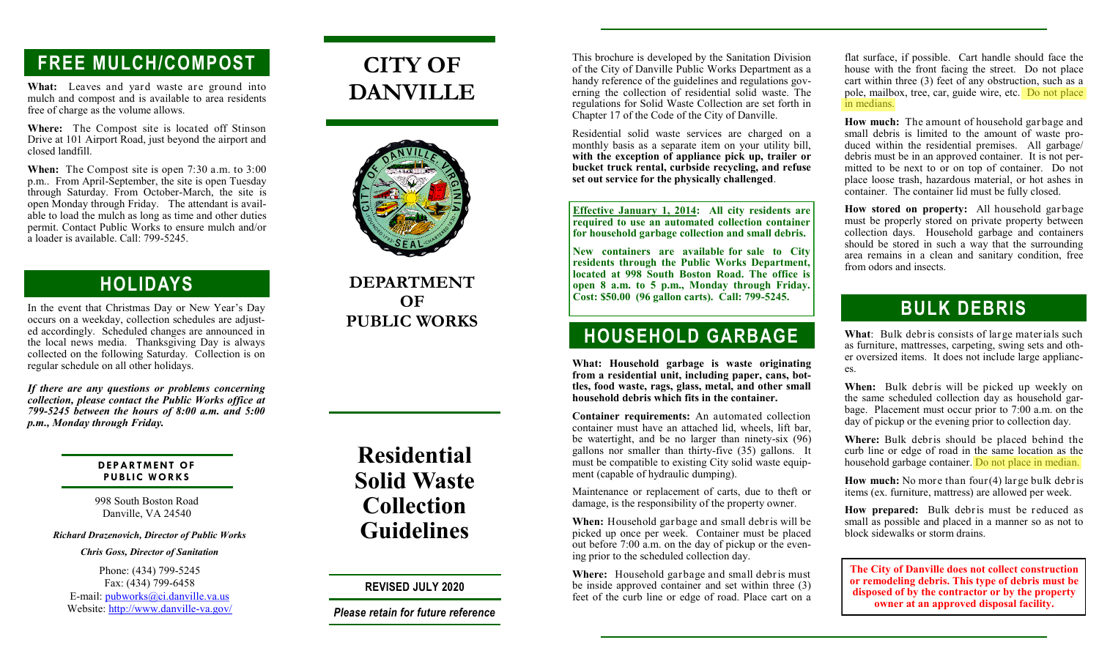# **FREE MULCH/COMPOST**

**What:** Leaves and yard waste are ground into mulch and compost and is available to area residents free of charge as the volume allows.

**Where:** The Compost site is located off Stinson Drive at 101 Airport Road, just beyond the airport and closed landfill.

**When:** The Compost site is open 7:30 a.m. to 3:00 p.m.. From April-September, the site is open Tuesday through Saturday. From October-March, the site is open Monday through Friday. The attendant is available to load the mulch as long as time and other duties permit. Contact Public Works to ensure mulch and/or a loader is available. Call: 799-5245.

### **HOLIDAYS**

In the event that Christmas Day or New Year's Day occurs on a weekday, collection schedules are adjusted accordingly. Scheduled changes are announced in the local news media. Thanksgiving Day is always collected on the following Saturday. Collection is on regular schedule on all other holidays.

*If there are any questions or problems concerning collection, please contact the Public Works office at 799-5245 between the hours of 8:00 a.m. and 5:00 p.m., Monday through Friday.*

#### **DEPARTMENT OF PUBLIC WORKS**

998 South Boston Road Danville, VA 24540

#### *Richard Drazenovich, Director of Public Works*

#### *Chris Goss, Director of Sanitation*

Phone: (434) 799-5245 Fax: (434) 799-6458 E-mail: pubworks@ci.danville.va.us Website: http://www.danville-va.gov/

# **CITY OF DANVILLE**



#### **DEPARTMENT OF PUBLIC WORKS**

# **Residential Solid Waste Collection Guidelines**

**REVISED JULY 2020**

*Please retain for future reference*

This brochure is developed by the Sanitation Division of the City of Danville Public Works Department as a handy reference of the guidelines and regulations governing the collection of residential solid waste. The regulations for Solid Waste Collection are set forth in Chapter 17 of the Code of the City of Danville.

Residential solid waste services are charged on a monthly basis as a separate item on your utility bill, **with the exception of appliance pick up, trailer or bucket truck rental, curbside recycling, and refuse set out service for the physically challenged**.

**Effective January 1, 2014: All city residents are required to use an automated collection container for household garbage collection and small debris.**

**New containers are available for sale to City residents through the Public Works Department, located at 998 South Boston Road. The office is open 8 a.m. to 5 p.m., Monday through Friday. Cost: \$50.00 (96 gallon carts). Call: 799-5245.**

## **HOUSEHOLD GARBAGE**

**What: Household garbage is waste originating from a residential unit, including paper, cans, bottles, food waste, rags, glass, metal, and other small household debris which fits in the container.** 

**Container requirements:** An automated collection container must have an attached lid, wheels, lift bar, be watertight, and be no larger than ninety-six (96) gallons nor smaller than thirty-five (35) gallons. It must be compatible to existing City solid waste equipment (capable of hydraulic dumping).

Maintenance or replacement of carts, due to theft or damage, is the responsibility of the property owner.

**When:** Household garbage and small debris will be picked up once per week. Container must be placed out before 7:00 a.m. on the day of pickup or the evening prior to the scheduled collection day.

**Where:** Household garbage and small debris must be inside approved container and set within three (3) feet of the curb line or edge of road. Place cart on a

flat surface, if possible. Cart handle should face the house with the front facing the street. Do not place cart within three (3) feet of any obstruction, such as a pole, mailbox, tree, car, guide wire, etc. Do not place in medians.

**How much:** The amount of household garbage and small debris is limited to the amount of waste produced within the residential premises. All garbage/ debris must be in an approved container. It is not permitted to be next to or on top of container. Do not place loose trash, hazardous material, or hot ashes in container. The container lid must be fully closed.

**How stored on property:** All household garbage must be properly stored on private property between collection days. Household garbage and containers should be stored in such a way that the surrounding area remains in a clean and sanitary condition, free from odors and insects.

## **BULK DEBRIS**

**What**: Bulk debris consists of large materials such as furniture, mattresses, carpeting, swing sets and other oversized items. It does not include large appliances.

**When:** Bulk debris will be picked up weekly on the same scheduled collection day as household garbage. Placement must occur prior to 7:00 a.m. on the day of pickup or the evening prior to collection day.

**Where:** Bulk debris should be placed behind the curb line or edge of road in the same location as the household garbage container. Do not place in median.

**How much:** No more than four(4) large bulk debris items (ex. furniture, mattress) are allowed per week.

**How prepared:** Bulk debris must be reduced as small as possible and placed in a manner so as not to block sidewalks or storm drains.

**The City of Danville does not collect construction or remodeling debris. This type of debris must be disposed of by the contractor or by the property owner at an approved disposal facility.**